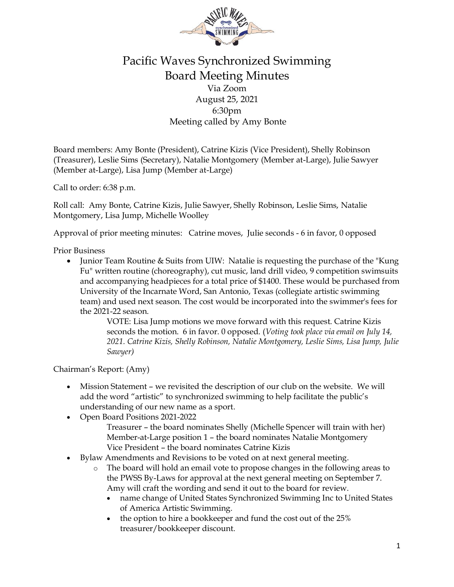

## Pacific Waves Synchronized Swimming Board Meeting Minutes Via Zoom August 25, 2021 6:30pm Meeting called by Amy Bonte

Board members: Amy Bonte (President), Catrine Kizis (Vice President), Shelly Robinson (Treasurer), Leslie Sims (Secretary), Natalie Montgomery (Member at-Large), Julie Sawyer (Member at-Large), Lisa Jump (Member at-Large)

Call to order: 6:38 p.m.

Roll call: Amy Bonte, Catrine Kizis, Julie Sawyer, Shelly Robinson, Leslie Sims, Natalie Montgomery, Lisa Jump, Michelle Woolley

Approval of prior meeting minutes: Catrine moves, Julie seconds - 6 in favor, 0 opposed

Prior Business

• Junior Team Routine & Suits from UIW: Natalie is requesting the purchase of the "Kung" Fu" written routine (choreography), cut music, land drill video, 9 competition swimsuits and accompanying headpieces for a total price of \$1400. These would be purchased from University of the Incarnate Word, San Antonio, Texas (collegiate artistic swimming team) and used next season. The cost would be incorporated into the swimmer's fees for the 2021-22 season.

> VOTE: Lisa Jump motions we move forward with this request. Catrine Kizis seconds the motion. 6 in favor. 0 opposed. (*Voting took place via email on July 14, 2021. Catrine Kizis, Shelly Robinson, Natalie Montgomery, Leslie Sims, Lisa Jump, Julie Sawyer)*

Chairman's Report: (Amy)

- Mission Statement we revisited the description of our club on the website. We will add the word "artistic" to synchronized swimming to help facilitate the public's understanding of our new name as a sport.
- Open Board Positions 2021-2022
	- Treasurer the board nominates Shelly (Michelle Spencer will train with her) Member-at-Large position 1 – the board nominates Natalie Montgomery Vice President – the board nominates Catrine Kizis
- Bylaw Amendments and Revisions to be voted on at next general meeting.
	- o The board will hold an email vote to propose changes in the following areas to the PWSS By-Laws for approval at the next general meeting on September 7. Amy will craft the wording and send it out to the board for review.
		- name change of United States Synchronized Swimming Inc to United States of America Artistic Swimming.
		- the option to hire a bookkeeper and fund the cost out of the 25% treasurer/bookkeeper discount.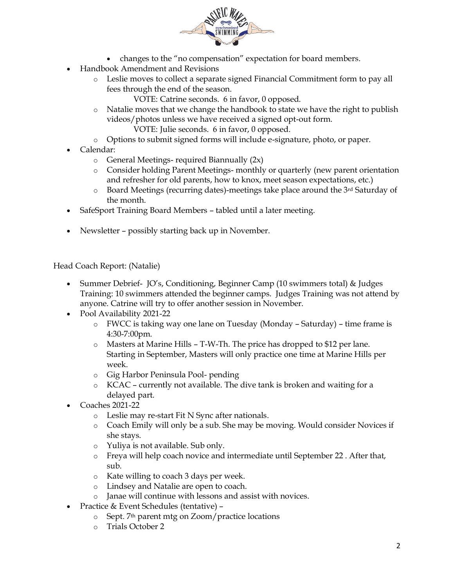

- changes to the "no compensation" expectation for board members.
- Handbook Amendment and Revisions
	- o Leslie moves to collect a separate signed Financial Commitment form to pay all fees through the end of the season.
		- VOTE: Catrine seconds. 6 in favor, 0 opposed.
	- o Natalie moves that we change the handbook to state we have the right to publish videos/photos unless we have received a signed opt-out form.

VOTE: Julie seconds. 6 in favor, 0 opposed.

- o Options to submit signed forms will include e-signature, photo, or paper.
- Calendar:
	- o General Meetings- required Biannually (2x)
	- o Consider holding Parent Meetings- monthly or quarterly (new parent orientation and refresher for old parents, how to knox, meet season expectations, etc.)
	- o Board Meetings (recurring dates)-meetings take place around the 3rd Saturday of the month.
- SafeSport Training Board Members tabled until a later meeting.
- Newsletter possibly starting back up in November.

Head Coach Report: (Natalie)

- Summer Debrief- JO's, Conditioning, Beginner Camp (10 swimmers total) & Judges Training: 10 swimmers attended the beginner camps. Judges Training was not attend by anyone. Catrine will try to offer another session in November.
- Pool Availability 2021-22
	- o FWCC is taking way one lane on Tuesday (Monday Saturday) time frame is 4:30-7:00pm.
	- o Masters at Marine Hills T-W-Th. The price has dropped to \$12 per lane. Starting in September, Masters will only practice one time at Marine Hills per week.
	- o Gig Harbor Peninsula Pool- pending
	- o KCAC currently not available. The dive tank is broken and waiting for a delayed part.
- Coaches 2021-22
	- o Leslie may re-start Fit N Sync after nationals.
	- o Coach Emily will only be a sub. She may be moving. Would consider Novices if she stays.
	- o Yuliya is not available. Sub only.
	- o Freya will help coach novice and intermediate until September 22 . After that, sub.
	- o Kate willing to coach 3 days per week.
	- o Lindsey and Natalie are open to coach.
	- o Janae will continue with lessons and assist with novices.
- Practice & Event Schedules (tentative)
	- o Sept. 7th parent mtg on Zoom/practice locations
	- o Trials October 2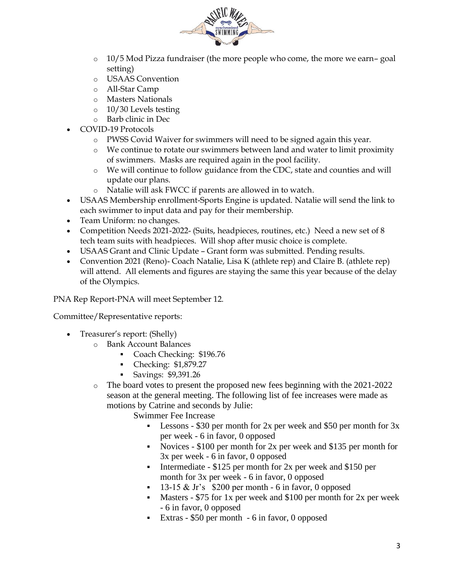

- $\circ$  10/5 Mod Pizza fundraiser (the more people who come, the more we earn– goal setting)
- o USAAS Convention
- o All-Star Camp
- o Masters Nationals
- o 10/30 Levels testing
- o Barb clinic in Dec
- COVID-19 Protocols
	- o PWSS Covid Waiver for swimmers will need to be signed again this year.
	- o We continue to rotate our swimmers between land and water to limit proximity of swimmers. Masks are required again in the pool facility.
	- o We will continue to follow guidance from the CDC, state and counties and will update our plans.
	- o Natalie will ask FWCC if parents are allowed in to watch.
- USAAS Membership enrollment-Sports Engine is updated. Natalie will send the link to each swimmer to input data and pay for their membership.
- Team Uniform: no changes.
- Competition Needs 2021-2022- (Suits, headpieces, routines, etc.) Need a new set of 8 tech team suits with headpieces. Will shop after music choice is complete.
- USAAS Grant and Clinic Update Grant form was submitted. Pending results.
- Convention 2021 (Reno)- Coach Natalie, Lisa K (athlete rep) and Claire B. (athlete rep) will attend. All elements and figures are staying the same this year because of the delay of the Olympics.

PNA Rep Report-PNA will meet September 12.

Committee/Representative reports:

- Treasurer's report: (Shelly)
	- o Bank Account Balances
		- Coach Checking: \$196.76
		- Checking: \$1,879.27
		- Savings: \$9,391.26
	- o The board votes to present the proposed new fees beginning with the 2021-2022 season at the general meeting. The following list of fee increases were made as motions by Catrine and seconds by Julie:

Swimmer Fee Increase

- **•** Lessons \$30 per month for 2x per week and \$50 per month for  $3x$ per week - 6 in favor, 0 opposed
- Novices \$100 per month for 2x per week and \$135 per month for 3x per week - 6 in favor, 0 opposed
- **•** Intermediate  $-$  \$125 per month for 2x per week and \$150 per month for 3x per week - 6 in favor, 0 opposed
- $\blacksquare$  13-15 & Jr's \$200 per month 6 in favor, 0 opposed
- Masters \$75 for 1x per week and \$100 per month for 2x per week - 6 in favor, 0 opposed
- Extras \$50 per month 6 in favor, 0 opposed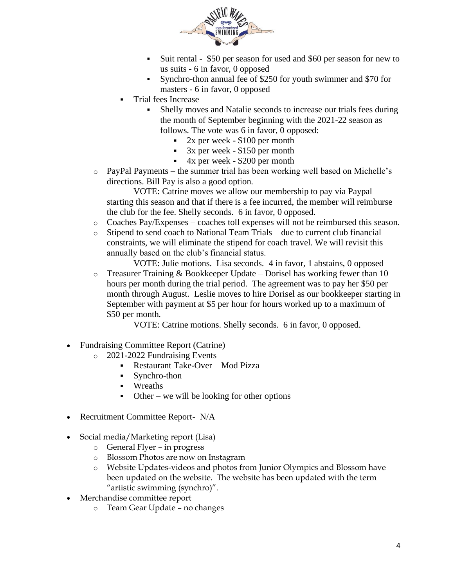

- Suit rental \$50 per season for used and \$60 per season for new to us suits - 6 in favor, 0 opposed
- Synchro-thon annual fee of \$250 for youth swimmer and \$70 for masters - 6 in favor, 0 opposed
- Trial fees Increase
	- Shelly moves and Natalie seconds to increase our trials fees during the month of September beginning with the 2021-22 season as follows. The vote was 6 in favor, 0 opposed:
		- $2x$  per week  $$100$  per month
		- $\sim$  3x per week \$150 per month
		- 4x per week \$200 per month
- o PayPal Payments the summer trial has been working well based on Michelle's directions. Bill Pay is also a good option.

VOTE: Catrine moves we allow our membership to pay via Paypal starting this season and that if there is a fee incurred, the member will reimburse the club for the fee. Shelly seconds. 6 in favor, 0 opposed.

- $\circ$  Coaches Pay/Expenses coaches toll expenses will not be reimbursed this season.
- o Stipend to send coach to National Team Trials due to current club financial constraints, we will eliminate the stipend for coach travel. We will revisit this annually based on the club's financial status.

VOTE: Julie motions. Lisa seconds. 4 in favor, 1 abstains, 0 opposed  $\circ$  Treasurer Training & Bookkeeper Update – Dorisel has working fewer than 10 hours per month during the trial period. The agreement was to pay her \$50 per month through August. Leslie moves to hire Dorisel as our bookkeeper starting in September with payment at \$5 per hour for hours worked up to a maximum of \$50 per month.

VOTE: Catrine motions. Shelly seconds. 6 in favor, 0 opposed.

- Fundraising Committee Report (Catrine)
	- o 2021-2022 Fundraising Events
		- Restaurant Take-Over Mod Pizza
		- Synchro-thon
		- Wreaths
		- $\bullet$  Other we will be looking for other options
- Recruitment Committee Report- N/A
- Social media/Marketing report (Lisa)
	- o General Flyer in progress
	- o Blossom Photos are now on Instagram
	- o Website Updates-videos and photos from Junior Olympics and Blossom have been updated on the website. The website has been updated with the term "artistic swimming (synchro)".
- Merchandise committee report
	- o Team Gear Update no changes